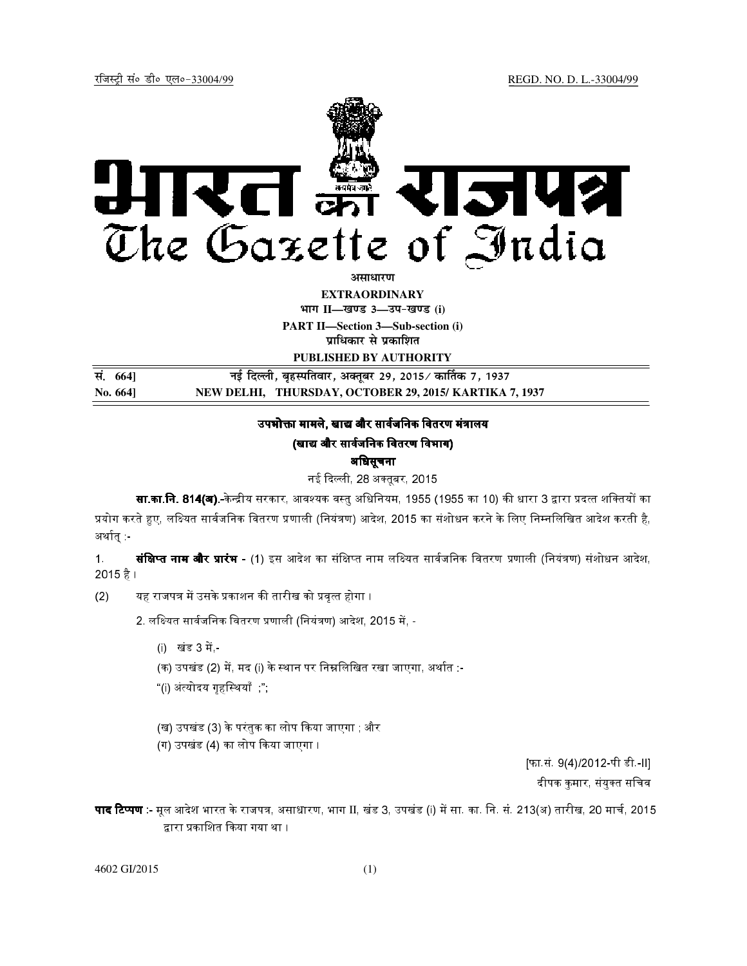

**EXTRAORDINARY Hkkx II—[k.M 3—mi&[k.M (i)**

**PART II—Section 3—Sub-section (i) प्राधिकार से प्रकाशित** 

**PUBLISHED BY AUTHORITY**

| सं. 664] | नई दिल्ली, बृहस्पतिवार, अक्तूबर 29, 2015∕ कार्तिक 7, 1937 |
|----------|-----------------------------------------------------------|
| No. 664] | NEW DELHI, THURSDAY, OCTOBER 29, 2015/KARTIKA 7, 1937     |

## उपभोक्ता मामले. खाद्य और सार्वजनिक वितरण मंत्रालय

## (खाद्य और सार्वजनिक वितरण विभाग)

#### अधिसूचना

# नई दिल्ली. 28 अक्तबर, 2015.

**सा.का.नि. 814(अ).-**केन्द्रीय सरकार. आवश्यक वस्त अधिनियम. 1955 (1955 का 10) की धारा 3 द्वारा प्रदत्त शक्तियों का प्रयोग करते हुए. लक्ष्यित सार्वजनिक वितरण प्रणाली (नियंत्रण) आदेश. 2015 का संशोधन करने के लिए निम्नलिखित आदेश करती है. अर्थात :-

1. **संक्षिप्त नाम और प्रारंभ -** (1) इस आदेश का संक्षिप्त नाम लक्ष्यित सार्वजनिक वितरण प्रणाली (नियंत्रण) संशोधन आदेश, 2015 है ।

(2) यह राजपत्र में उसके प्रकाशन की तारीख को प्रवत्त होगा ।

2. लक्ष्यित सार्वजनिक वितरण प्रणाली (नियंत्रण) आदेश, 2015 में. -

- (i) खंड 3 में -
- (क) उपखंड (2) में मद (i) के स्थान पर निम्नलिखित रखा जाएगा, अर्थात :-
	- "(i) अंत्योदय गृहस्थियाँ ";
- (ख) उपखंड (3) के परंतक का लोप किया जाएगा : और
	- (ग) उपखंड (4) का लोप किया जाएगा ।

[फा.सं. 9(4)/2012-पी डी.-II] दीपक कमार, संयक्त सचिव

**पाद टिप्पण** - मूल आदेश भारत के राजपत्र, असाधारण, भाग II, खंड 3, उपखंड (i) में सा. का. नि. सं. 213(अ) तारीख, 20 मार्च, 2015 द्वारा प्रकाशित किया गया था ।

4602 GI/2015 (1)